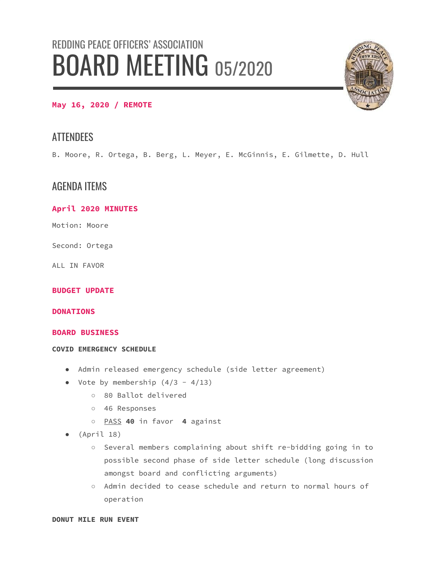# REDDING PEACE OFFICERS' ASSOCIATION BOARD MEETING 05/2020



## **May 16, 2020 / REMOTE**

# **ATTENDEES**

B. Moore, R. Ortega, B. Berg, L. Meyer, E. McGinnis, E. Gilmette, D. Hull

## AGENDA ITEMS

### **April 2020 MINUTES**

Motion: Moore

Second: Ortega

ALL IN FAVOR

#### **BUDGET UPDATE**

#### **DONATIONS**

#### **BOARD BUSINESS**

#### **COVID EMERGENCY SCHEDULE**

- Admin released emergency schedule (side letter agreement)
- Vote by membership  $(4/3 4/13)$ 
	- 80 Ballot delivered
	- 46 Responses
	- PASS **40** in favor **4** against
- (April 18)
	- Several members complaining about shift re-bidding going in to possible second phase of side letter schedule (long discussion amongst board and conflicting arguments)
	- Admin decided to cease schedule and return to normal hours of operation

**DONUT MILE RUN EVENT**